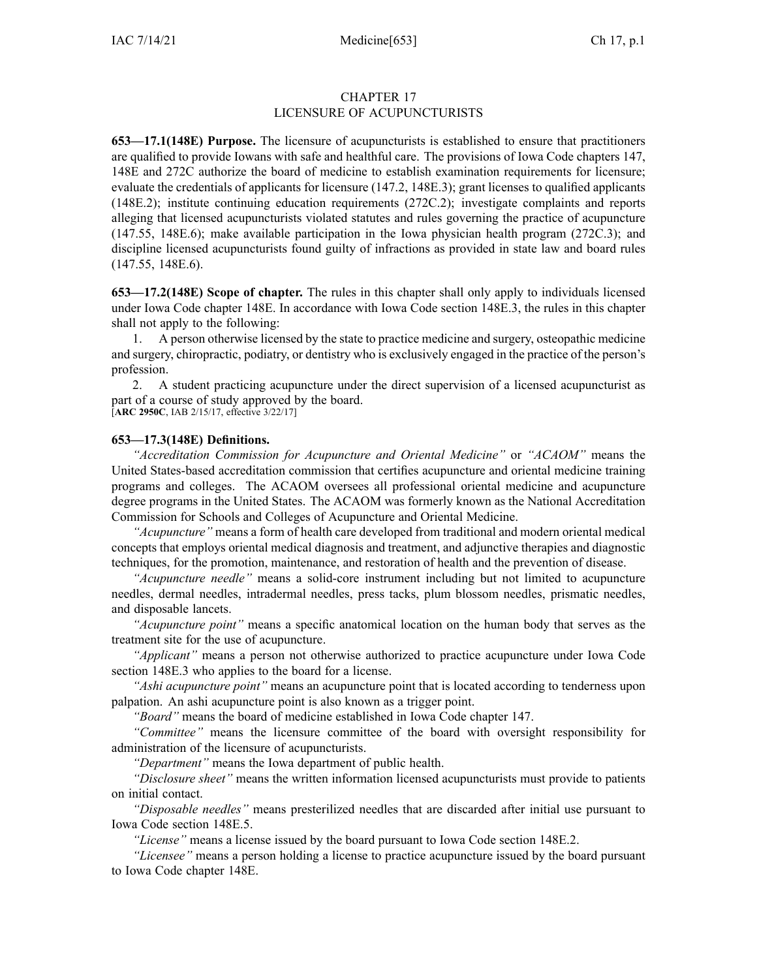## CHAPTER 17 LICENSURE OF ACUPUNCTURISTS

**653—17.1(148E) Purpose.** The licensure of acupuncturists is established to ensure that practitioners are qualified to provide Iowans with safe and healthful care. The provisions of Iowa Code chapters [147](https://www.legis.iowa.gov/docs/ico/chapter/147.pdf), [148E](https://www.legis.iowa.gov/docs/ico/chapter/148E.pdf) and [272C](https://www.legis.iowa.gov/docs/ico/chapter/272C.pdf) authorize the board of medicine to establish examination requirements for licensure; evaluate the credentials of applicants for licensure ([147.2](https://www.legis.iowa.gov/docs/ico/section/147.2.pdf), [148E.3](https://www.legis.iowa.gov/docs/ico/section/148E.3.pdf)); gran<sup>t</sup> licenses to qualified applicants ([148E.2\)](https://www.legis.iowa.gov/docs/ico/section/148E.2.pdf); institute continuing education requirements ([272C.2](https://www.legis.iowa.gov/docs/ico/section/272C.2.pdf)); investigate complaints and reports alleging that licensed acupuncturists violated statutes and rules governing the practice of acupuncture ([147.55](https://www.legis.iowa.gov/docs/ico/section/147.55.pdf), [148E.6](https://www.legis.iowa.gov/docs/ico/section/148E.6.pdf)); make available participation in the Iowa physician health program ([272C.3](https://www.legis.iowa.gov/docs/ico/section/272C.3.pdf)); and discipline licensed acupuncturists found guilty of infractions as provided in state law and board rules ([147.55](https://www.legis.iowa.gov/docs/ico/section/147.55.pdf), [148E.6](https://www.legis.iowa.gov/docs/ico/section/148E.6.pdf)).

**653—17.2(148E) Scope of chapter.** The rules in this chapter shall only apply to individuals licensed under Iowa Code chapter [148E](https://www.legis.iowa.gov/docs/ico/chapter/2017/148E.pdf). In accordance with Iowa Code section [148E.3](https://www.legis.iowa.gov/docs/ico/section/2017/148E.3.pdf), the rules in this chapter shall not apply to the following:

1. A person otherwise licensed by the state to practice medicine and surgery, osteopathic medicine and surgery, chiropractic, podiatry, or dentistry who is exclusively engaged in the practice of the person's profession.

2. A student practicing acupuncture under the direct supervision of <sup>a</sup> licensed acupuncturist as par<sup>t</sup> of <sup>a</sup> course of study approved by the board. [**ARC [2950C](https://www.legis.iowa.gov/docs/aco/arc/2950C.pdf)**, IAB 2/15/17, effective 3/22/17]

## **653—17.3(148E) Definitions.**

*"Accreditation Commission for Acupuncture and Oriental Medicine"* or *"ACAOM"* means the United States-based accreditation commission that certifies acupuncture and oriental medicine training programs and colleges. The ACAOM oversees all professional oriental medicine and acupuncture degree programs in the United States. The ACAOM was formerly known as the National Accreditation Commission for Schools and Colleges of Acupuncture and Oriental Medicine.

*"Acupuncture"* means <sup>a</sup> form of health care developed from traditional and modern oriental medical concepts that employs oriental medical diagnosis and treatment, and adjunctive therapies and diagnostic techniques, for the promotion, maintenance, and restoration of health and the prevention of disease.

*"Acupuncture needle"* means <sup>a</sup> solid-core instrument including but not limited to acupuncture needles, dermal needles, intradermal needles, press tacks, plum blossom needles, prismatic needles, and disposable lancets.

*"Acupuncture point"* means <sup>a</sup> specific anatomical location on the human body that serves as the treatment site for the use of acupuncture.

*"Applicant"* means <sup>a</sup> person not otherwise authorized to practice acupuncture under Iowa Code section [148E.3](https://www.legis.iowa.gov/docs/ico/section/2017/148E.3.pdf) who applies to the board for <sup>a</sup> license.

*"Ashi acupuncture point"* means an acupuncture point that is located according to tenderness upon palpation. An ashi acupuncture point is also known as <sup>a</sup> trigger point.

*"Board"* means the board of medicine established in Iowa Code chapter [147](https://www.legis.iowa.gov/docs/ico/chapter/2017/147.pdf).

*"Committee"* means the licensure committee of the board with oversight responsibility for administration of the licensure of acupuncturists.

*"Department"* means the Iowa department of public health.

*"Disclosure sheet"* means the written information licensed acupuncturists must provide to patients on initial contact.

*"Disposable needles"* means presterilized needles that are discarded after initial use pursuan<sup>t</sup> to Iowa Code section [148E.5](https://www.legis.iowa.gov/docs/ico/section/2017/148E.5.pdf).

*"License"* means <sup>a</sup> license issued by the board pursuan<sup>t</sup> to Iowa Code section [148E.2](https://www.legis.iowa.gov/docs/ico/section/2017/148E.2.pdf).

*"Licensee"* means <sup>a</sup> person holding <sup>a</sup> license to practice acupuncture issued by the board pursuan<sup>t</sup> to Iowa Code chapter [148E](https://www.legis.iowa.gov/docs/ico/chapter/2017/148E.pdf).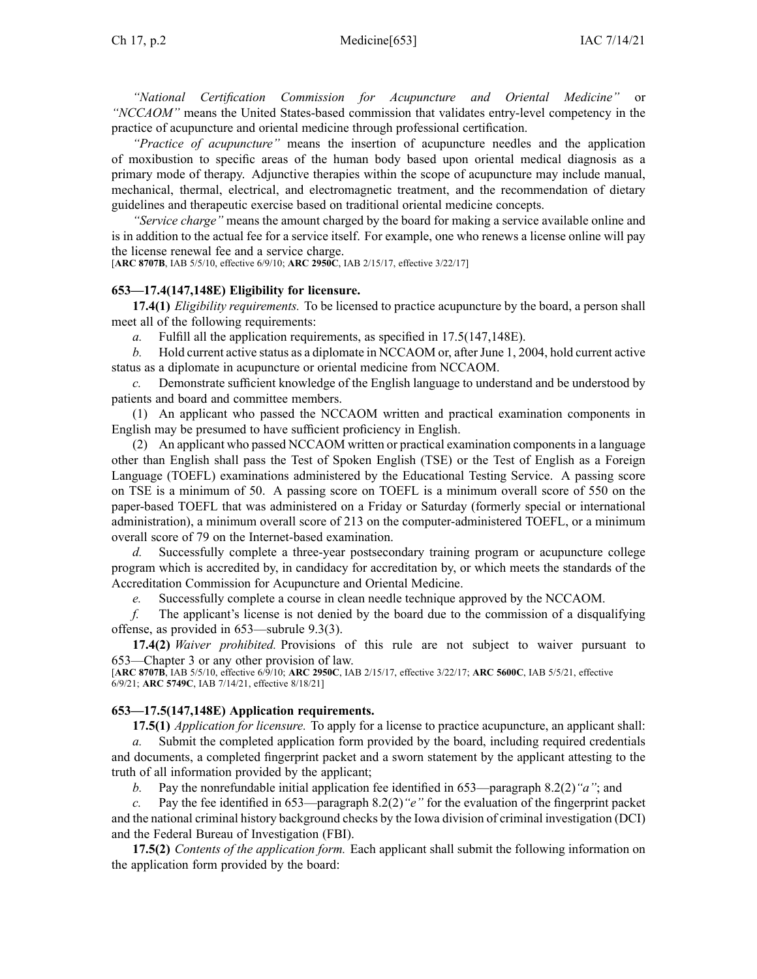*"National Certification Commission for Acupuncture and Oriental Medicine" "NCCAOM"* means the United States-based commission that validates entry-level competency in the practice of acupuncture and oriental medicine through professional certification.

*"Practice of acupuncture"* means the insertion of acupuncture needles and the application of moxibustion to specific areas of the human body based upon oriental medical diagnosis as <sup>a</sup> primary mode of therapy. Adjunctive therapies within the scope of acupuncture may include manual, mechanical, thermal, electrical, and electromagnetic treatment, and the recommendation of dietary guidelines and therapeutic exercise based on traditional oriental medicine concepts.

*"Service charge"* means the amount charged by the board for making <sup>a</sup> service available online and is in addition to the actual fee for <sup>a</sup> service itself. For example, one who renews <sup>a</sup> license online will pay the license renewal fee and <sup>a</sup> service charge.

[**ARC [8707B](https://www.legis.iowa.gov/docs/aco/arc/8707B.pdf)**, IAB 5/5/10, effective 6/9/10; **ARC [2950C](https://www.legis.iowa.gov/docs/aco/arc/2950C.pdf)**, IAB 2/15/17, effective 3/22/17]

#### **653—17.4(147,148E) Eligibility for licensure.**

**17.4(1)** *Eligibility requirements.* To be licensed to practice acupuncture by the board, <sup>a</sup> person shall meet all of the following requirements:

*a.* Fulfill all the application requirements, as specified in [17.5\(](https://www.legis.iowa.gov/docs/iac/rule/653.17.5.pdf)147,148E).

*b.* Hold current active status as a diplomate in NCCAOM or, after June 1, 2004, hold current active status as <sup>a</sup> diplomate in acupuncture or oriental medicine from NCCAOM.

*c.* Demonstrate sufficient knowledge of the English language to understand and be understood by patients and board and committee members.

(1) An applicant who passed the NCCAOM written and practical examination components in English may be presumed to have sufficient proficiency in English.

(2) An applicant who passed NCCAOM written or practical examination componentsin <sup>a</sup> language other than English shall pass the Test of Spoken English (TSE) or the Test of English as <sup>a</sup> Foreign Language (TOEFL) examinations administered by the Educational Testing Service. A passing score on TSE is <sup>a</sup> minimum of 50. A passing score on TOEFL is <sup>a</sup> minimum overall score of 550 on the paper-based TOEFL that was administered on <sup>a</sup> Friday or Saturday (formerly special or international administration), <sup>a</sup> minimum overall score of 213 on the computer-administered TOEFL, or <sup>a</sup> minimum overall score of 79 on the Internet-based examination.

*d.* Successfully complete <sup>a</sup> three-year postsecondary training program or acupuncture college program which is accredited by, in candidacy for accreditation by, or which meets the standards of the Accreditation Commission for Acupuncture and Oriental Medicine.

*e.* Successfully complete <sup>a</sup> course in clean needle technique approved by the NCCAOM.

*f.* The applicant's license is not denied by the board due to the commission of <sup>a</sup> disqualifying offense, as provided in [653—subrule](https://www.legis.iowa.gov/docs/iac/rule/653.9.3.pdf) 9.3(3).

**17.4(2)** *Waiver prohibited.* Provisions of this rule are not subject to waiver pursuan<sup>t</sup> to [653—Chapter](https://www.legis.iowa.gov/docs/iac/chapter/653.3.pdf) 3 or any other provision of law.

[**ARC [8707B](https://www.legis.iowa.gov/docs/aco/arc/8707B.pdf)**, IAB 5/5/10, effective 6/9/10; **ARC [2950C](https://www.legis.iowa.gov/docs/aco/arc/2950C.pdf)**, IAB 2/15/17, effective 3/22/17; **ARC [5600C](https://www.legis.iowa.gov/docs/aco/arc/5600C.pdf)**, IAB 5/5/21, effective 6/9/21; **ARC [5749C](https://www.legis.iowa.gov/docs/aco/arc/5749C.pdf)**, IAB 7/14/21, effective 8/18/21]

#### **653—17.5(147,148E) Application requirements.**

**17.5(1)** *Application for licensure.* To apply for <sup>a</sup> license to practice acupuncture, an applicant shall:

*a.* Submit the completed application form provided by the board, including required credentials and documents, <sup>a</sup> completed fingerprint packet and <sup>a</sup> sworn statement by the applicant attesting to the truth of all information provided by the applicant;

*b.* Pay the nonrefundable initial application fee identified in [653—paragraph](https://www.legis.iowa.gov/docs/iac/rule/653.8.2.pdf) 8.2(2)*"a"*; and

*c.* Pay the fee identified in [653—paragraph](https://www.legis.iowa.gov/docs/iac/rule/653.8.2.pdf) 8.2(2)*"e"* for the evaluation of the fingerprint packet and the national criminal history background checks by the Iowa division of criminal investigation (DCI) and the Federal Bureau of Investigation (FBI).

**17.5(2)** *Contents of the application form.* Each applicant shall submit the following information on the application form provided by the board: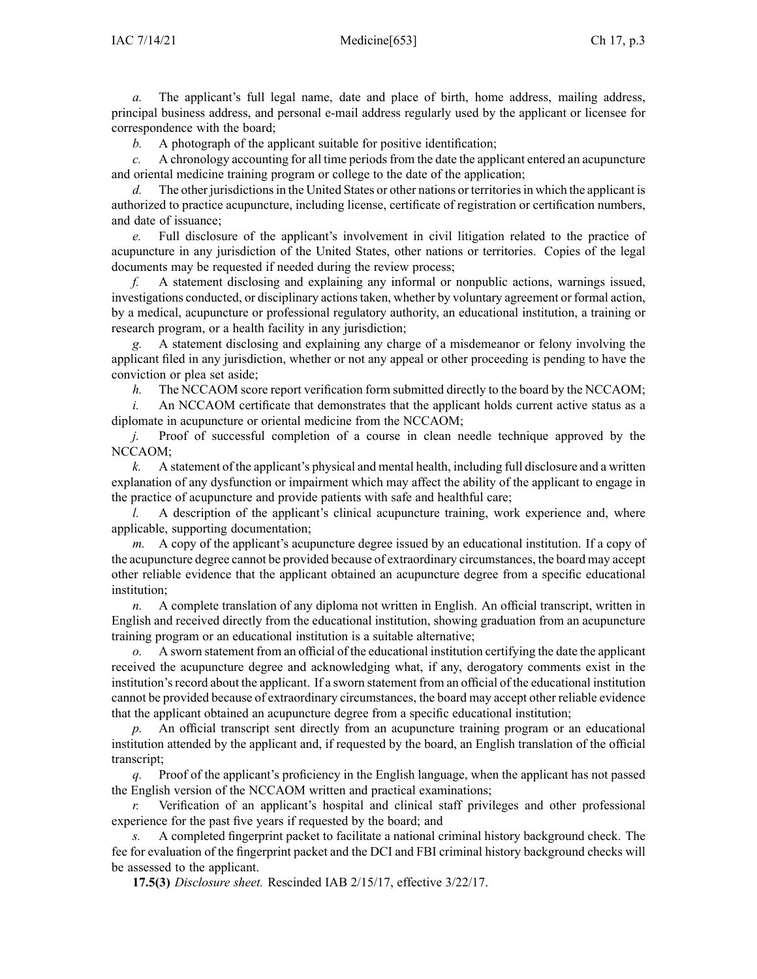*a.* The applicant's full legal name, date and place of birth, home address, mailing address, principal business address, and personal e-mail address regularly used by the applicant or licensee for correspondence with the board;

*b.* A photograph of the applicant suitable for positive identification;

*c.* A chronology accounting for all time periods from the date the applicant entered an acupuncture and oriental medicine training program or college to the date of the application;

*d.* The other jurisdictions in the United States or other nations or territories in which the applicant is authorized to practice acupuncture, including license, certificate of registration or certification numbers, and date of issuance;

*e.* Full disclosure of the applicant's involvement in civil litigation related to the practice of acupuncture in any jurisdiction of the United States, other nations or territories. Copies of the legal documents may be requested if needed during the review process;

*f.* A statement disclosing and explaining any informal or nonpublic actions, warnings issued, investigations conducted, or disciplinary actions taken, whether by voluntary agreement or formal action, by <sup>a</sup> medical, acupuncture or professional regulatory authority, an educational institution, <sup>a</sup> training or research program, or <sup>a</sup> health facility in any jurisdiction;

*g.* A statement disclosing and explaining any charge of <sup>a</sup> misdemeanor or felony involving the applicant filed in any jurisdiction, whether or not any appeal or other proceeding is pending to have the conviction or plea set aside;

*h.* The NCCAOM score report verification form submitted directly to the board by the NCCAOM;

*i.* An NCCAOM certificate that demonstrates that the applicant holds current active status as a diplomate in acupuncture or oriental medicine from the NCCAOM;

*j.* Proof of successful completion of a course in clean needle technique approved by the NCCAOM;

*k.* A statement of the applicant's physical and mental health, including full disclosure and <sup>a</sup> written explanation of any dysfunction or impairment which may affect the ability of the applicant to engage in the practice of acupuncture and provide patients with safe and healthful care;

*l.* A description of the applicant's clinical acupuncture training, work experience and, where applicable, supporting documentation;

*m.* A copy of the applicant's acupuncture degree issued by an educational institution. If <sup>a</sup> copy of the acupuncture degree cannot be provided because of extraordinary circumstances, the board may accep<sup>t</sup> other reliable evidence that the applicant obtained an acupuncture degree from <sup>a</sup> specific educational institution;

*n.* A complete translation of any diploma not written in English. An official transcript, written in English and received directly from the educational institution, showing graduation from an acupuncture training program or an educational institution is <sup>a</sup> suitable alternative;

*o.* A sworn statement from an official of the educational institution certifying the date the applicant received the acupuncture degree and acknowledging what, if any, derogatory comments exist in the institution'srecord about the applicant. If <sup>a</sup> sworn statement from an official of the educational institution cannot be provided because of extraordinary circumstances, the board may accep<sup>t</sup> other reliable evidence that the applicant obtained an acupuncture degree from <sup>a</sup> specific educational institution;

*p.* An official transcript sent directly from an acupuncture training program or an educational institution attended by the applicant and, if requested by the board, an English translation of the official transcript;

*q.* Proof of the applicant's proficiency in the English language, when the applicant has not passed the English version of the NCCAOM written and practical examinations;

*r.* Verification of an applicant's hospital and clinical staff privileges and other professional experience for the pas<sup>t</sup> five years if requested by the board; and

*s.* A completed fingerprint packet to facilitate <sup>a</sup> national criminal history background check. The fee for evaluation of the fingerprint packet and the DCI and FBI criminal history background checks will be assessed to the applicant.

**17.5(3)** *Disclosure sheet.* Rescinded IAB [2/15/17](https://www.legis.iowa.gov/docs/aco/bulletin/02-15-2017.pdf), effective 3/22/17.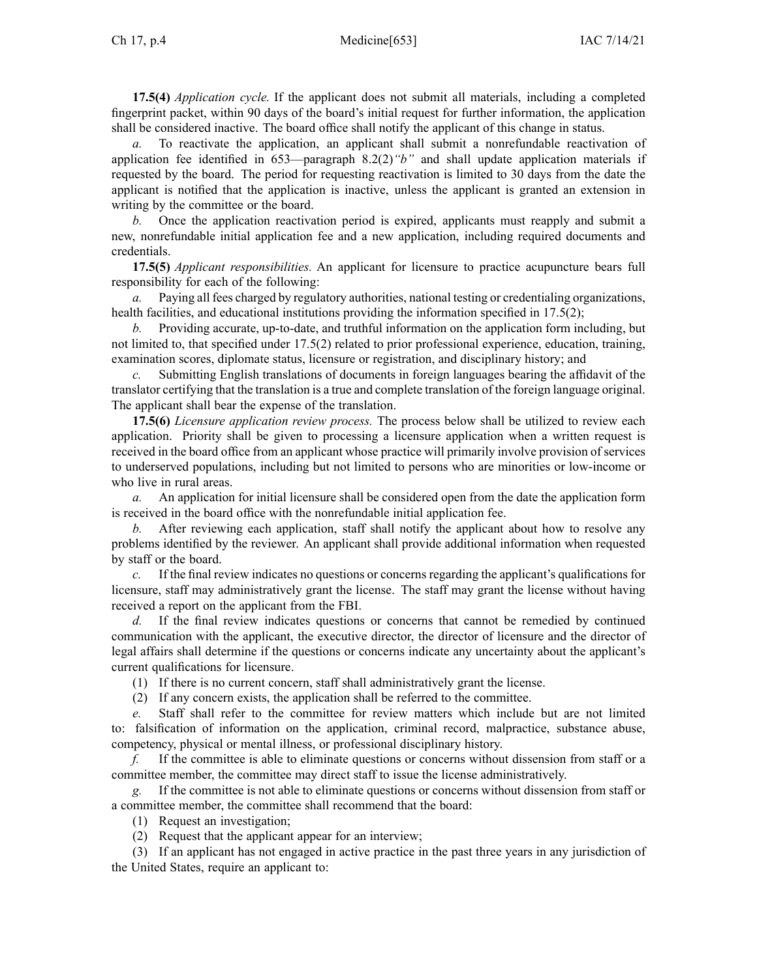**17.5(4)** *Application cycle.* If the applicant does not submit all materials, including <sup>a</sup> completed fingerprint packet, within 90 days of the board's initial reques<sup>t</sup> for further information, the application shall be considered inactive. The board office shall notify the applicant of this change in status.

*a.* To reactivate the application, an applicant shall submit <sup>a</sup> nonrefundable reactivation of application fee identified in [653—paragraph](https://www.legis.iowa.gov/docs/iac/rule/653.8.2.pdf) 8.2(2)*"b"* and shall update application materials if requested by the board. The period for requesting reactivation is limited to 30 days from the date the applicant is notified that the application is inactive, unless the applicant is granted an extension in writing by the committee or the board.

*b.* Once the application reactivation period is expired, applicants must reapply and submit <sup>a</sup> new, nonrefundable initial application fee and <sup>a</sup> new application, including required documents and credentials.

**17.5(5)** *Applicant responsibilities.* An applicant for licensure to practice acupuncture bears full responsibility for each of the following:

*a.* Paying all fees charged by regulatory authorities, national testing or credentialing organizations, health facilities, and educational institutions providing the information specified in [17.5\(2\)](https://www.legis.iowa.gov/docs/iac/rule/653.17.5.pdf);

*b.* Providing accurate, up-to-date, and truthful information on the application form including, but not limited to, that specified under [17.5\(2\)](https://www.legis.iowa.gov/docs/iac/rule/653.17.5.pdf) related to prior professional experience, education, training, examination scores, diplomate status, licensure or registration, and disciplinary history; and

*c.* Submitting English translations of documents in foreign languages bearing the affidavit of the translator certifying that the translation is <sup>a</sup> true and complete translation of the foreign language original. The applicant shall bear the expense of the translation.

**17.5(6)** *Licensure application review process.* The process below shall be utilized to review each application. Priority shall be given to processing <sup>a</sup> licensure application when <sup>a</sup> written reques<sup>t</sup> is received in the board office from an applicant whose practice will primarily involve provision of services to underserved populations, including but not limited to persons who are minorities or low-income or who live in rural areas.

*a.* An application for initial licensure shall be considered open from the date the application form is received in the board office with the nonrefundable initial application fee.

*b.* After reviewing each application, staff shall notify the applicant about how to resolve any problems identified by the reviewer. An applicant shall provide additional information when requested by staff or the board.

*c.* If the final review indicates no questions or concerns regarding the applicant's qualifications for licensure, staff may administratively gran<sup>t</sup> the license. The staff may gran<sup>t</sup> the license without having received <sup>a</sup> repor<sup>t</sup> on the applicant from the FBI.

*d.* If the final review indicates questions or concerns that cannot be remedied by continued communication with the applicant, the executive director, the director of licensure and the director of legal affairs shall determine if the questions or concerns indicate any uncertainty about the applicant's current qualifications for licensure.

(1) If there is no current concern, staff shall administratively gran<sup>t</sup> the license.

(2) If any concern exists, the application shall be referred to the committee.

*e.* Staff shall refer to the committee for review matters which include but are not limited to: falsification of information on the application, criminal record, malpractice, substance abuse, competency, physical or mental illness, or professional disciplinary history.

*f.* If the committee is able to eliminate questions or concerns without dissension from staff or <sup>a</sup> committee member, the committee may direct staff to issue the license administratively.

*g.* If the committee is not able to eliminate questions or concerns without dissension from staff or <sup>a</sup> committee member, the committee shall recommend that the board:

(1) Request an investigation;

(2) Request that the applicant appear for an interview;

(3) If an applicant has not engaged in active practice in the pas<sup>t</sup> three years in any jurisdiction of the United States, require an applicant to: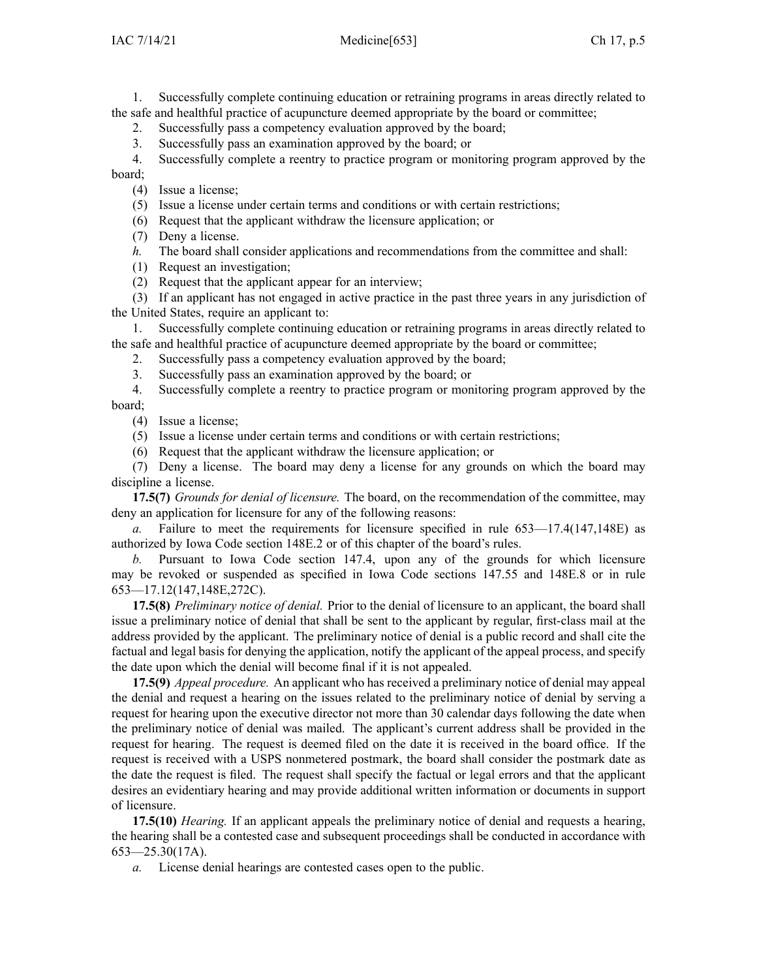1. Successfully complete continuing education or retraining programs in areas directly related to the safe and healthful practice of acupuncture deemed appropriate by the board or committee;

2. Successfully pass <sup>a</sup> competency evaluation approved by the board;

3. Successfully pass an examination approved by the board; or

4. Successfully complete <sup>a</sup> reentry to practice program or monitoring program approved by the board;

- (4) Issue <sup>a</sup> license;
- (5) Issue <sup>a</sup> license under certain terms and conditions or with certain restrictions;
- (6) Request that the applicant withdraw the licensure application; or
- (7) Deny <sup>a</sup> license.

*h.* The board shall consider applications and recommendations from the committee and shall:

- (1) Request an investigation;
- (2) Request that the applicant appear for an interview;

(3) If an applicant has not engaged in active practice in the pas<sup>t</sup> three years in any jurisdiction of the United States, require an applicant to:

1. Successfully complete continuing education or retraining programs in areas directly related to the safe and healthful practice of acupuncture deemed appropriate by the board or committee;

- 2. Successfully pass <sup>a</sup> competency evaluation approved by the board;
- 3. Successfully pass an examination approved by the board; or

4. Successfully complete <sup>a</sup> reentry to practice program or monitoring program approved by the board;

(4) Issue <sup>a</sup> license;

(5) Issue <sup>a</sup> license under certain terms and conditions or with certain restrictions;

(6) Request that the applicant withdraw the licensure application; or

(7) Deny <sup>a</sup> license. The board may deny <sup>a</sup> license for any grounds on which the board may discipline <sup>a</sup> license.

**17.5(7)** *Grounds for denial of licensure.* The board, on the recommendation of the committee, may deny an application for licensure for any of the following reasons:

*a.* Failure to meet the requirements for licensure specified in rule [653—17.4](https://www.legis.iowa.gov/docs/iac/rule/653.17.4.pdf)(147,148E) as authorized by Iowa Code section [148E.2](https://www.legis.iowa.gov/docs/ico/section/2017/148E.2.pdf) or of this chapter of the board's rules.

*b.* Pursuant to Iowa Code section [147.4](https://www.legis.iowa.gov/docs/ico/section/2017/147.4.pdf), upon any of the grounds for which licensure may be revoked or suspended as specified in Iowa Code sections [147.55](https://www.legis.iowa.gov/docs/ico/section/2017/147.55.pdf) and [148E.8](https://www.legis.iowa.gov/docs/ico/section/2017/148E.8.pdf) or in rule [653—17.12](https://www.legis.iowa.gov/docs/iac/rule/653.17.12.pdf)(147,148E,272C).

**17.5(8)** *Preliminary notice of denial.* Prior to the denial of licensure to an applicant, the board shall issue <sup>a</sup> preliminary notice of denial that shall be sent to the applicant by regular, first-class mail at the address provided by the applicant. The preliminary notice of denial is <sup>a</sup> public record and shall cite the factual and legal basis for denying the application, notify the applicant of the appeal process, and specify the date upon which the denial will become final if it is not appealed.

**17.5(9)** *Appeal procedure.* An applicant who has received <sup>a</sup> preliminary notice of denial may appeal the denial and reques<sup>t</sup> <sup>a</sup> hearing on the issues related to the preliminary notice of denial by serving <sup>a</sup> reques<sup>t</sup> for hearing upon the executive director not more than 30 calendar days following the date when the preliminary notice of denial was mailed. The applicant's current address shall be provided in the reques<sup>t</sup> for hearing. The reques<sup>t</sup> is deemed filed on the date it is received in the board office. If the reques<sup>t</sup> is received with <sup>a</sup> USPS nonmetered postmark, the board shall consider the postmark date as the date the reques<sup>t</sup> is filed. The reques<sup>t</sup> shall specify the factual or legal errors and that the applicant desires an evidentiary hearing and may provide additional written information or documents in suppor<sup>t</sup> of licensure.

**17.5(10)** *Hearing.* If an applicant appeals the preliminary notice of denial and requests <sup>a</sup> hearing, the hearing shall be <sup>a</sup> contested case and subsequent proceedings shall be conducted in accordance with [653—25.30](https://www.legis.iowa.gov/docs/iac/rule/653.25.30.pdf)(17A).

*a.* License denial hearings are contested cases open to the public.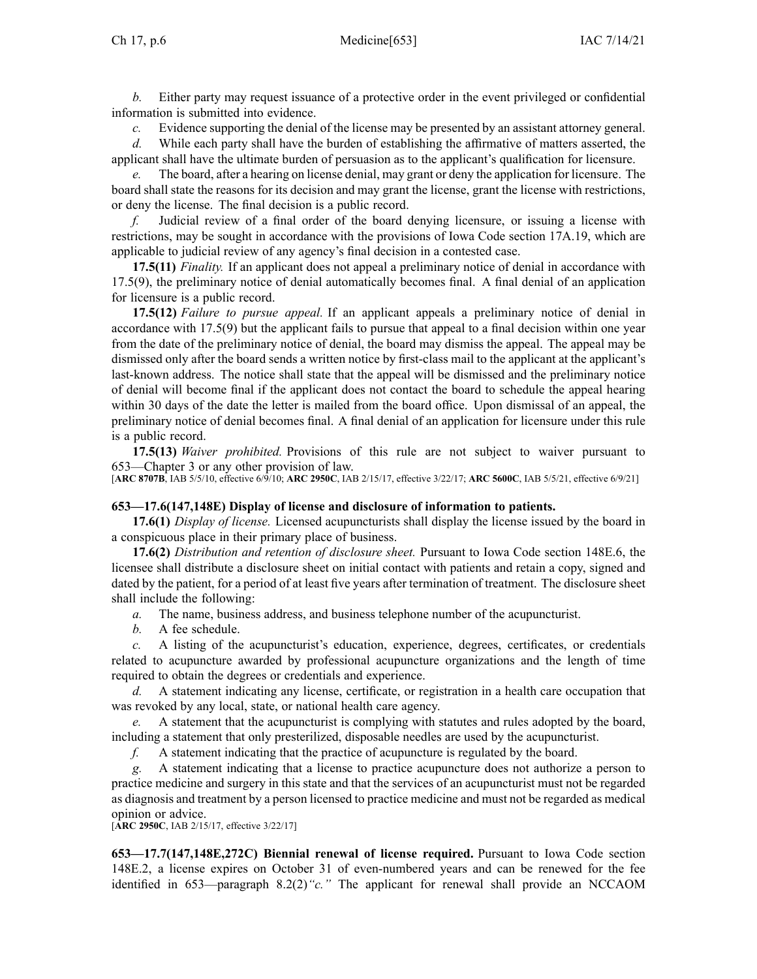*b.* Either party may reques<sup>t</sup> issuance of <sup>a</sup> protective order in the event privileged or confidential information is submitted into evidence.

*c.* Evidence supporting the denial of the license may be presented by an assistant attorney general.

*d.* While each party shall have the burden of establishing the affirmative of matters asserted, the applicant shall have the ultimate burden of persuasion as to the applicant's qualification for licensure.

*e.* The board, after <sup>a</sup> hearing on license denial, may gran<sup>t</sup> or deny the application for licensure. The board shall state the reasons for its decision and may gran<sup>t</sup> the license, gran<sup>t</sup> the license with restrictions, or deny the license. The final decision is <sup>a</sup> public record.

*f.* Judicial review of <sup>a</sup> final order of the board denying licensure, or issuing <sup>a</sup> license with restrictions, may be sought in accordance with the provisions of Iowa Code section [17A.19](https://www.legis.iowa.gov/docs/ico/section/2017/17A.19.pdf), which are applicable to judicial review of any agency's final decision in <sup>a</sup> contested case.

**17.5(11)** *Finality.* If an applicant does not appeal <sup>a</sup> preliminary notice of denial in accordance with [17.5\(9\)](https://www.legis.iowa.gov/docs/iac/rule/653.17.5.pdf), the preliminary notice of denial automatically becomes final. A final denial of an application for licensure is <sup>a</sup> public record.

**17.5(12)** *Failure to pursue appeal.* If an applicant appeals <sup>a</sup> preliminary notice of denial in accordance with [17.5\(9\)](https://www.legis.iowa.gov/docs/iac/rule/653.17.5.pdf) but the applicant fails to pursue that appeal to <sup>a</sup> final decision within one year from the date of the preliminary notice of denial, the board may dismiss the appeal. The appeal may be dismissed only after the board sends <sup>a</sup> written notice by first-class mail to the applicant at the applicant's last-known address. The notice shall state that the appeal will be dismissed and the preliminary notice of denial will become final if the applicant does not contact the board to schedule the appeal hearing within 30 days of the date the letter is mailed from the board office. Upon dismissal of an appeal, the preliminary notice of denial becomes final. A final denial of an application for licensure under this rule is <sup>a</sup> public record.

**17.5(13)** *Waiver prohibited.* Provisions of this rule are not subject to waiver pursuan<sup>t</sup> to [653—Chapter](https://www.legis.iowa.gov/docs/iac/chapter/653.3.pdf) 3 or any other provision of law.

[**ARC [8707B](https://www.legis.iowa.gov/docs/aco/arc/8707B.pdf)**, IAB 5/5/10, effective 6/9/10; **ARC [2950C](https://www.legis.iowa.gov/docs/aco/arc/2950C.pdf)**, IAB 2/15/17, effective 3/22/17; **ARC [5600C](https://www.legis.iowa.gov/docs/aco/arc/5600C.pdf)**, IAB 5/5/21, effective 6/9/21]

### **653—17.6(147,148E) Display of license and disclosure of information to patients.**

**17.6(1)** *Display of license.* Licensed acupuncturists shall display the license issued by the board in <sup>a</sup> conspicuous place in their primary place of business.

**17.6(2)** *Distribution and retention of disclosure sheet.* Pursuant to Iowa Code section [148E.6](https://www.legis.iowa.gov/docs/ico/section/2017/148E.6.pdf), the licensee shall distribute <sup>a</sup> disclosure sheet on initial contact with patients and retain <sup>a</sup> copy, signed and dated by the patient, for <sup>a</sup> period of at least five years after termination of treatment. The disclosure sheet shall include the following:

*a.* The name, business address, and business telephone number of the acupuncturist.

*b.* A fee schedule.

*c.* A listing of the acupuncturist's education, experience, degrees, certificates, or credentials related to acupuncture awarded by professional acupuncture organizations and the length of time required to obtain the degrees or credentials and experience.

*d.* A statement indicating any license, certificate, or registration in <sup>a</sup> health care occupation that was revoked by any local, state, or national health care agency.

*e.* A statement that the acupuncturist is complying with statutes and rules adopted by the board, including <sup>a</sup> statement that only presterilized, disposable needles are used by the acupuncturist.

*f.* A statement indicating that the practice of acupuncture is regulated by the board.

*g.* A statement indicating that <sup>a</sup> license to practice acupuncture does not authorize <sup>a</sup> person to practice medicine and surgery in this state and that the services of an acupuncturist must not be regarded as diagnosis and treatment by <sup>a</sup> person licensed to practice medicine and must not be regarded as medical opinion or advice.

[**ARC [2950C](https://www.legis.iowa.gov/docs/aco/arc/2950C.pdf)**, IAB 2/15/17, effective 3/22/17]

**653—17.7(147,148E,272C) Biennial renewal of license required.** Pursuant to Iowa Code section [148E.2](https://www.legis.iowa.gov/docs/ico/section/2017/148E.2.pdf), <sup>a</sup> license expires on October 31 of even-numbered years and can be renewed for the fee identified in [653—paragraph](https://www.legis.iowa.gov/docs/iac/rule/653.8.2.pdf) 8.2(2)*"c."* The applicant for renewal shall provide an NCCAOM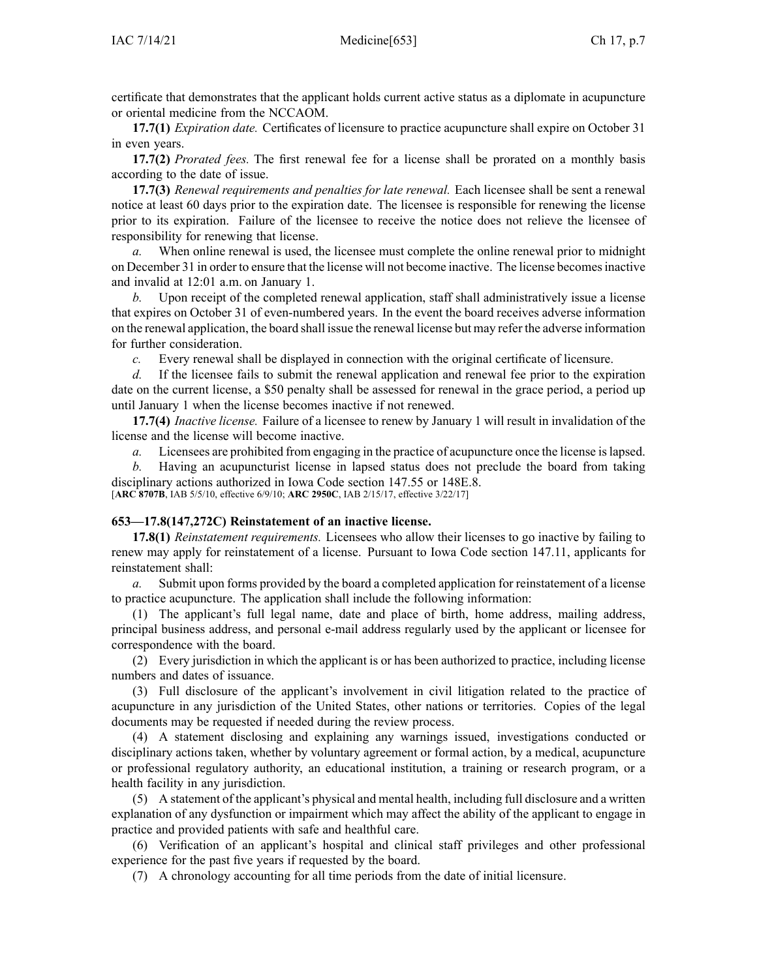certificate that demonstrates that the applicant holds current active status as <sup>a</sup> diplomate in acupuncture or oriental medicine from the NCCAOM.

**17.7(1)** *Expiration date.* Certificates of licensure to practice acupuncture shall expire on October 31 in even years.

**17.7(2)** *Prorated fees.* The first renewal fee for <sup>a</sup> license shall be prorated on <sup>a</sup> monthly basis according to the date of issue.

**17.7(3)** *Renewal requirements and penalties for late renewal.* Each licensee shall be sent <sup>a</sup> renewal notice at least 60 days prior to the expiration date. The licensee is responsible for renewing the license prior to its expiration. Failure of the licensee to receive the notice does not relieve the licensee of responsibility for renewing that license.

*a.* When online renewal is used, the licensee must complete the online renewal prior to midnight on December 31 in order to ensure that the license will not become inactive. The license becomesinactive and invalid at 12:01 a.m. on January 1.

*b.* Upon receipt of the completed renewal application, staff shall administratively issue <sup>a</sup> license that expires on October 31 of even-numbered years. In the event the board receives adverse information on the renewal application, the board shall issue the renewal license but may refer the adverse information for further consideration.

*c.* Every renewal shall be displayed in connection with the original certificate of licensure.

*d.* If the licensee fails to submit the renewal application and renewal fee prior to the expiration date on the current license, <sup>a</sup> \$50 penalty shall be assessed for renewal in the grace period, <sup>a</sup> period up until January 1 when the license becomes inactive if not renewed.

**17.7(4)** *Inactive license.* Failure of <sup>a</sup> licensee to renew by January 1 will result in invalidation of the license and the license will become inactive.

*a.* Licensees are prohibited from engaging in the practice of acupuncture once the license islapsed.

*b.* Having an acupuncturist license in lapsed status does not preclude the board from taking disciplinary actions authorized in Iowa Code section [147.55](https://www.legis.iowa.gov/docs/ico/section/2017/147.55.pdf) or [148E.8](https://www.legis.iowa.gov/docs/ico/section/2017/148E.8.pdf). [**ARC [8707B](https://www.legis.iowa.gov/docs/aco/arc/8707B.pdf)**, IAB 5/5/10, effective 6/9/10; **ARC [2950C](https://www.legis.iowa.gov/docs/aco/arc/2950C.pdf)**, IAB 2/15/17, effective 3/22/17]

# **653—17.8(147,272C) Reinstatement of an inactive license.**

**17.8(1)** *Reinstatement requirements.* Licensees who allow their licenses to go inactive by failing to renew may apply for reinstatement of <sup>a</sup> license. Pursuant to Iowa Code section [147.11](https://www.legis.iowa.gov/docs/ico/section/147.11.pdf), applicants for reinstatement shall:

*a.* Submit upon forms provided by the board <sup>a</sup> completed application for reinstatement of <sup>a</sup> license to practice acupuncture. The application shall include the following information:

(1) The applicant's full legal name, date and place of birth, home address, mailing address, principal business address, and personal e-mail address regularly used by the applicant or licensee for correspondence with the board.

(2) Every jurisdiction in which the applicant is or has been authorized to practice, including license numbers and dates of issuance.

(3) Full disclosure of the applicant's involvement in civil litigation related to the practice of acupuncture in any jurisdiction of the United States, other nations or territories. Copies of the legal documents may be requested if needed during the review process.

(4) A statement disclosing and explaining any warnings issued, investigations conducted or disciplinary actions taken, whether by voluntary agreemen<sup>t</sup> or formal action, by <sup>a</sup> medical, acupuncture or professional regulatory authority, an educational institution, <sup>a</sup> training or research program, or <sup>a</sup> health facility in any jurisdiction.

(5) A statement of the applicant's physical and mental health, including full disclosure and <sup>a</sup> written explanation of any dysfunction or impairment which may affect the ability of the applicant to engage in practice and provided patients with safe and healthful care.

(6) Verification of an applicant's hospital and clinical staff privileges and other professional experience for the pas<sup>t</sup> five years if requested by the board.

(7) A chronology accounting for all time periods from the date of initial licensure.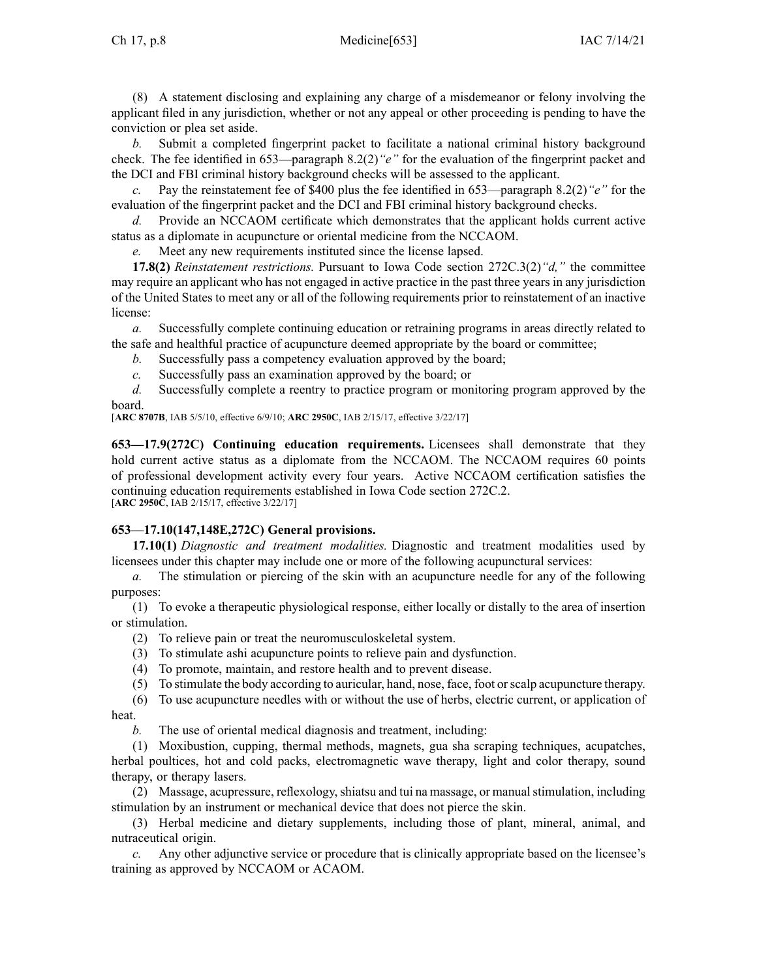(8) A statement disclosing and explaining any charge of <sup>a</sup> misdemeanor or felony involving the applicant filed in any jurisdiction, whether or not any appeal or other proceeding is pending to have the conviction or plea set aside.

*b.* Submit <sup>a</sup> completed fingerprint packet to facilitate <sup>a</sup> national criminal history background check. The fee identified in [653—paragraph](https://www.legis.iowa.gov/docs/iac/rule/653.8.2.pdf) 8.2(2)*"e"* for the evaluation of the fingerprint packet and the DCI and FBI criminal history background checks will be assessed to the applicant.

*c.* Pay the reinstatement fee of \$400 plus the fee identified in [653—paragraph](https://www.legis.iowa.gov/docs/iac/rule/653.8.2.pdf) 8.2(2)*"e"* for the evaluation of the fingerprint packet and the DCI and FBI criminal history background checks.

*d.* Provide an NCCAOM certificate which demonstrates that the applicant holds current active status as <sup>a</sup> diplomate in acupuncture or oriental medicine from the NCCAOM.

*e.* Meet any new requirements instituted since the license lapsed.

**17.8(2)** *Reinstatement restrictions.* Pursuant to Iowa Code section [272C.3\(2\)](https://www.legis.iowa.gov/docs/ico/section/272C.3.pdf)*"d,"* the committee may require an applicant who has not engaged in active practice in the pas<sup>t</sup> three years in any jurisdiction of the United States to meet any or all of the following requirements prior to reinstatement of an inactive license:

*a.* Successfully complete continuing education or retraining programs in areas directly related to the safe and healthful practice of acupuncture deemed appropriate by the board or committee;

*b.* Successfully pass <sup>a</sup> competency evaluation approved by the board;

*c.* Successfully pass an examination approved by the board; or

*d.* Successfully complete <sup>a</sup> reentry to practice program or monitoring program approved by the board.

[**ARC [8707B](https://www.legis.iowa.gov/docs/aco/arc/8707B.pdf)**, IAB 5/5/10, effective 6/9/10; **ARC [2950C](https://www.legis.iowa.gov/docs/aco/arc/2950C.pdf)**, IAB 2/15/17, effective 3/22/17]

**653—17.9(272C) Continuing education requirements.** Licensees shall demonstrate that they hold current active status as a diplomate from the NCCAOM. The NCCAOM requires 60 points of professional development activity every four years. Active NCCAOM certification satisfies the continuing education requirements established in Iowa Code section [272C.2](https://www.legis.iowa.gov/docs/ico/section/2017/272C.2.pdf). [**ARC [2950C](https://www.legis.iowa.gov/docs/aco/arc/2950C.pdf)**, IAB 2/15/17, effective 3/22/17]

# **653—17.10(147,148E,272C) General provisions.**

**17.10(1)** *Diagnostic and treatment modalities.* Diagnostic and treatment modalities used by licensees under this chapter may include one or more of the following acupunctural services:

*a.* The stimulation or piercing of the skin with an acupuncture needle for any of the following purposes:

(1) To evoke <sup>a</sup> therapeutic physiological response, either locally or distally to the area of insertion or stimulation.

(2) To relieve pain or treat the neuromusculoskeletal system.

- (3) To stimulate ashi acupuncture points to relieve pain and dysfunction.
- (4) To promote, maintain, and restore health and to preven<sup>t</sup> disease.
- (5) To stimulate the body according to auricular, hand, nose, face, foot orscalp acupuncture therapy.

(6) To use acupuncture needles with or without the use of herbs, electric current, or application of heat.

*b.* The use of oriental medical diagnosis and treatment, including:

(1) Moxibustion, cupping, thermal methods, magnets, gua sha scraping techniques, acupatches, herbal poultices, hot and cold packs, electromagnetic wave therapy, light and color therapy, sound therapy, or therapy lasers.

(2) Massage, acupressure, reflexology, shiatsu and tui na massage, or manual stimulation, including stimulation by an instrument or mechanical device that does not pierce the skin.

(3) Herbal medicine and dietary supplements, including those of plant, mineral, animal, and nutraceutical origin.

*c.* Any other adjunctive service or procedure that is clinically appropriate based on the licensee's training as approved by NCCAOM or ACAOM.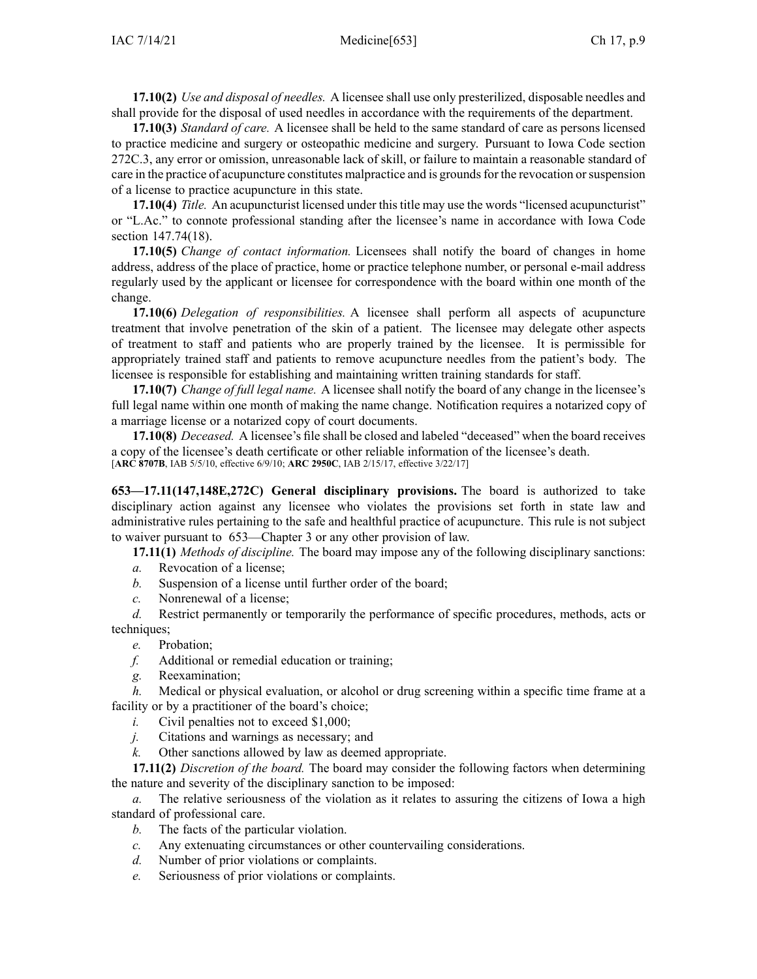**17.10(2)** *Use and disposal of needles.* A licensee shall use only presterilized, disposable needles and shall provide for the disposal of used needles in accordance with the requirements of the department.

**17.10(3)** *Standard of care.* A licensee shall be held to the same standard of care as persons licensed to practice medicine and surgery or osteopathic medicine and surgery. Pursuant to Iowa Code section [272C.3](https://www.legis.iowa.gov/docs/ico/section/272C.3.pdf), any error or omission, unreasonable lack of skill, or failure to maintain <sup>a</sup> reasonable standard of care in the practice of acupuncture constitutes malpractice and is grounds for the revocation or suspension of <sup>a</sup> license to practice acupuncture in this state.

**17.10(4)** *Title.* An acupuncturist licensed under thistitle may use the words "licensed acupuncturist" or "L.Ac." to connote professional standing after the licensee's name in accordance with Iowa Code section [147.74\(18\)](https://www.legis.iowa.gov/docs/ico/section/147.74.pdf).

**17.10(5)** *Change of contact information.* Licensees shall notify the board of changes in home address, address of the place of practice, home or practice telephone number, or personal e-mail address regularly used by the applicant or licensee for correspondence with the board within one month of the change.

**17.10(6)** *Delegation of responsibilities.* A licensee shall perform all aspects of acupuncture treatment that involve penetration of the skin of <sup>a</sup> patient. The licensee may delegate other aspects of treatment to staff and patients who are properly trained by the licensee. It is permissible for appropriately trained staff and patients to remove acupuncture needles from the patient's body. The licensee is responsible for establishing and maintaining written training standards for staff.

**17.10(7)** *Change of full legal name.* A licensee shall notify the board of any change in the licensee's full legal name within one month of making the name change. Notification requires <sup>a</sup> notarized copy of <sup>a</sup> marriage license or <sup>a</sup> notarized copy of court documents.

**17.10(8)** *Deceased.* A licensee's file shall be closed and labeled "deceased" when the board receives <sup>a</sup> copy of the licensee's death certificate or other reliable information of the licensee's death. [**ARC [8707B](https://www.legis.iowa.gov/docs/aco/arc/8707B.pdf)**, IAB 5/5/10, effective 6/9/10; **ARC [2950C](https://www.legis.iowa.gov/docs/aco/arc/2950C.pdf)**, IAB 2/15/17, effective 3/22/17]

**653—17.11(147,148E,272C) General disciplinary provisions.** The board is authorized to take disciplinary action against any licensee who violates the provisions set forth in state law and administrative rules pertaining to the safe and healthful practice of acupuncture. This rule is not subject to waiver pursuan<sup>t</sup> to [653—Chapter](https://www.legis.iowa.gov/docs/iac/chapter/653.3.pdf) 3 or any other provision of law.

**17.11(1)** *Methods of discipline.* The board may impose any of the following disciplinary sanctions:

- *a.* Revocation of <sup>a</sup> license;
- *b.* Suspension of <sup>a</sup> license until further order of the board;
- *c.* Nonrenewal of <sup>a</sup> license;

*d.* Restrict permanently or temporarily the performance of specific procedures, methods, acts or techniques;

*e.* Probation;

- *f.* Additional or remedial education or training;
- *g.* Reexamination;

*h.* Medical or physical evaluation, or alcohol or drug screening within <sup>a</sup> specific time frame at <sup>a</sup> facility or by <sup>a</sup> practitioner of the board's choice;

- *i.* Civil penalties not to exceed \$1,000;
- *j.* Citations and warnings as necessary; and
- *k.* Other sanctions allowed by law as deemed appropriate.

**17.11(2)** *Discretion of the board.* The board may consider the following factors when determining the nature and severity of the disciplinary sanction to be imposed:

*a.* The relative seriousness of the violation as it relates to assuring the citizens of Iowa <sup>a</sup> high standard of professional care.

- *b.* The facts of the particular violation.
- *c.* Any extenuating circumstances or other countervailing considerations.
- *d.* Number of prior violations or complaints.
- *e.* Seriousness of prior violations or complaints.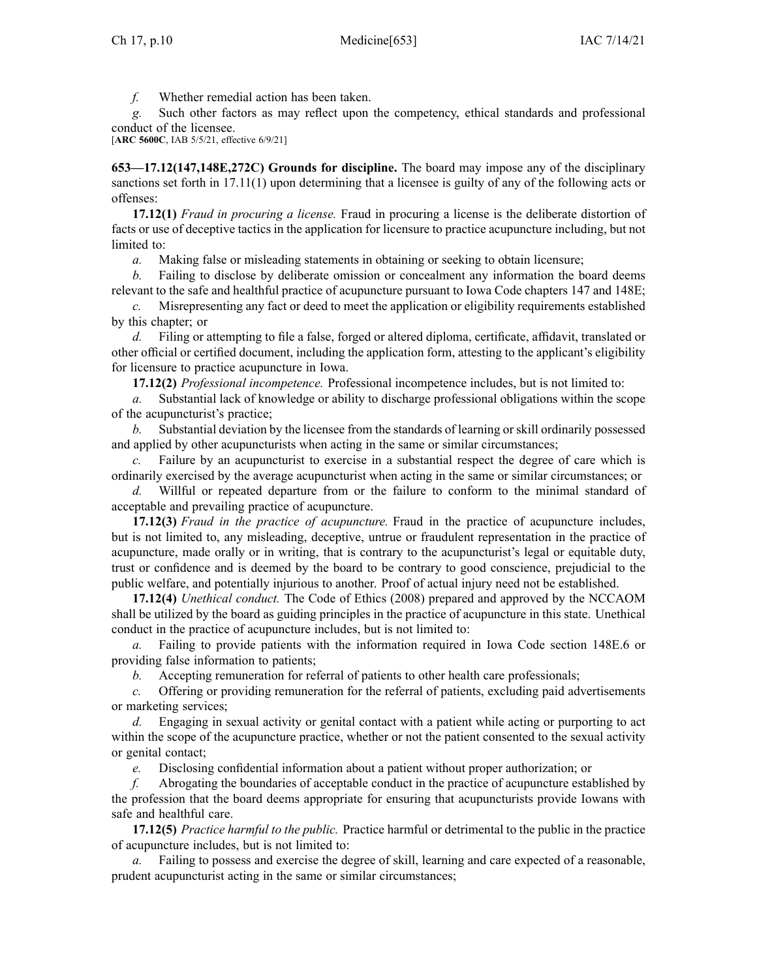*f.* Whether remedial action has been taken.

*g.* Such other factors as may reflect upon the competency, ethical standards and professional conduct of the licensee.

[**ARC [5600C](https://www.legis.iowa.gov/docs/aco/arc/5600C.pdf)**, IAB 5/5/21, effective 6/9/21]

**653—17.12(147,148E,272C) Grounds for discipline.** The board may impose any of the disciplinary sanctions set forth in [17.11\(1\)](https://www.legis.iowa.gov/docs/iac/rule/653.17.11.pdf) upon determining that <sup>a</sup> licensee is guilty of any of the following acts or offenses:

**17.12(1)** *Fraud in procuring <sup>a</sup> license.* Fraud in procuring <sup>a</sup> license is the deliberate distortion of facts or use of deceptive tactics in the application for licensure to practice acupuncture including, but not limited to:

*a.* Making false or misleading statements in obtaining or seeking to obtain licensure;

*b.* Failing to disclose by deliberate omission or concealment any information the board deems relevant to the safe and healthful practice of acupuncture pursuan<sup>t</sup> to Iowa Code chapters [147](https://www.legis.iowa.gov/docs/ico/chapter/147.pdf) and [148E](https://www.legis.iowa.gov/docs/ico/chapter/148E.pdf);

*c.* Misrepresenting any fact or deed to meet the application or eligibility requirements established by this chapter; or

*d.* Filing or attempting to file <sup>a</sup> false, forged or altered diploma, certificate, affidavit, translated or other official or certified document, including the application form, attesting to the applicant's eligibility for licensure to practice acupuncture in Iowa.

**17.12(2)** *Professional incompetence.* Professional incompetence includes, but is not limited to:

*a.* Substantial lack of knowledge or ability to discharge professional obligations within the scope of the acupuncturist's practice;

*b.* Substantial deviation by the licensee from the standards of learning or skill ordinarily possessed and applied by other acupuncturists when acting in the same or similar circumstances;

*c.* Failure by an acupuncturist to exercise in <sup>a</sup> substantial respec<sup>t</sup> the degree of care which is ordinarily exercised by the average acupuncturist when acting in the same or similar circumstances; or

*d.* Willful or repeated departure from or the failure to conform to the minimal standard of acceptable and prevailing practice of acupuncture.

**17.12(3)** *Fraud in the practice of acupuncture.* Fraud in the practice of acupuncture includes, but is not limited to, any misleading, deceptive, untrue or fraudulent representation in the practice of acupuncture, made orally or in writing, that is contrary to the acupuncturist's legal or equitable duty, trust or confidence and is deemed by the board to be contrary to good conscience, prejudicial to the public welfare, and potentially injurious to another. Proof of actual injury need not be established.

**17.12(4)** *Unethical conduct.* The Code of Ethics (2008) prepared and approved by the NCCAOM shall be utilized by the board as guiding principles in the practice of acupuncture in this state. Unethical conduct in the practice of acupuncture includes, but is not limited to:

*a.* Failing to provide patients with the information required in Iowa Code section [148E.6](https://www.legis.iowa.gov/docs/ico/section/148E.6.pdf) or providing false information to patients;

*b.* Accepting remuneration for referral of patients to other health care professionals;

*c.* Offering or providing remuneration for the referral of patients, excluding paid advertisements or marketing services;

*d.* Engaging in sexual activity or genital contact with <sup>a</sup> patient while acting or purporting to act within the scope of the acupuncture practice, whether or not the patient consented to the sexual activity or genital contact;

*e.* Disclosing confidential information about <sup>a</sup> patient without proper authorization; or

*f.* Abrogating the boundaries of acceptable conduct in the practice of acupuncture established by the profession that the board deems appropriate for ensuring that acupuncturists provide Iowans with safe and healthful care.

**17.12(5)** *Practice harmful to the public.* Practice harmful or detrimental to the public in the practice of acupuncture includes, but is not limited to:

*a.* Failing to possess and exercise the degree of skill, learning and care expected of <sup>a</sup> reasonable, prudent acupuncturist acting in the same or similar circumstances;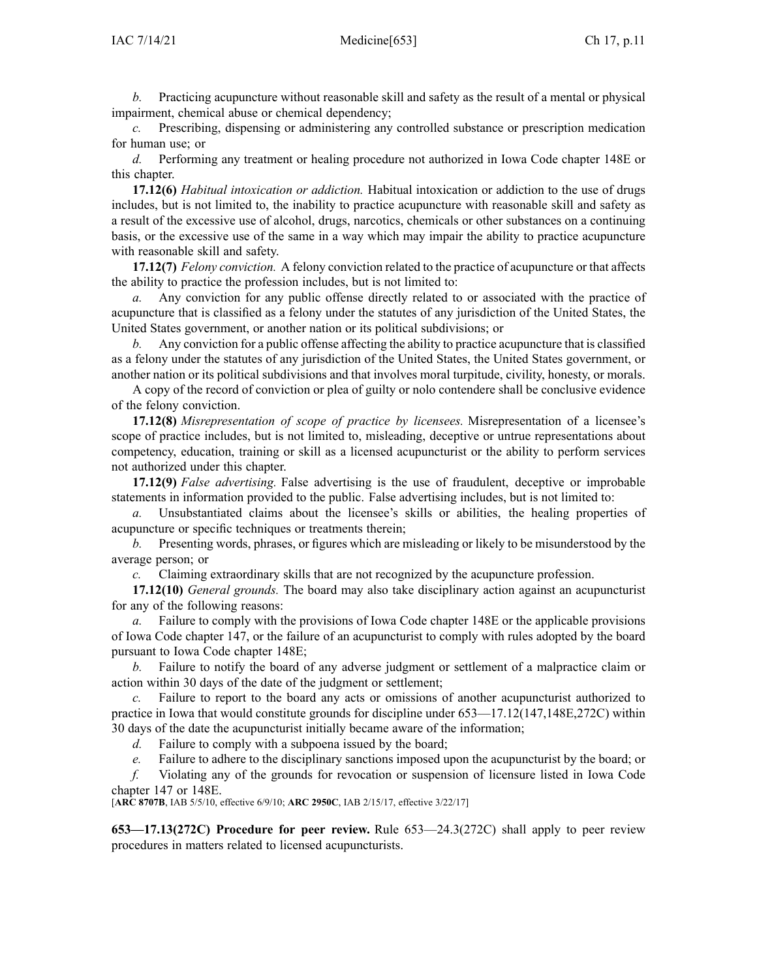*b.* Practicing acupuncture without reasonable skill and safety as the result of <sup>a</sup> mental or physical impairment, chemical abuse or chemical dependency;

*c.* Prescribing, dispensing or administering any controlled substance or prescription medication for human use; or

*d.* Performing any treatment or healing procedure not authorized in Iowa Code chapter [148E](https://www.legis.iowa.gov/docs/ico/chapter/148E.pdf) or this chapter.

**17.12(6)** *Habitual intoxication or addiction.* Habitual intoxication or addiction to the use of drugs includes, but is not limited to, the inability to practice acupuncture with reasonable skill and safety as <sup>a</sup> result of the excessive use of alcohol, drugs, narcotics, chemicals or other substances on <sup>a</sup> continuing basis, or the excessive use of the same in <sup>a</sup> way which may impair the ability to practice acupuncture with reasonable skill and safety.

**17.12(7)** *Felony conviction.* A felony conviction related to the practice of acupuncture or that affects the ability to practice the profession includes, but is not limited to:

*a.* Any conviction for any public offense directly related to or associated with the practice of acupuncture that is classified as <sup>a</sup> felony under the statutes of any jurisdiction of the United States, the United States government, or another nation or its political subdivisions; or

*b.* Any conviction for <sup>a</sup> public offense affecting the ability to practice acupuncture that is classified as <sup>a</sup> felony under the statutes of any jurisdiction of the United States, the United States government, or another nation or its political subdivisions and that involves moral turpitude, civility, honesty, or morals.

A copy of the record of conviction or plea of guilty or nolo contendere shall be conclusive evidence of the felony conviction.

**17.12(8)** *Misrepresentation of scope of practice by licensees.* Misrepresentation of <sup>a</sup> licensee's scope of practice includes, but is not limited to, misleading, deceptive or untrue representations about competency, education, training or skill as <sup>a</sup> licensed acupuncturist or the ability to perform services not authorized under this chapter.

**17.12(9)** *False advertising.* False advertising is the use of fraudulent, deceptive or improbable statements in information provided to the public. False advertising includes, but is not limited to:

*a.* Unsubstantiated claims about the licensee's skills or abilities, the healing properties of acupuncture or specific techniques or treatments therein;

*b.* Presenting words, phrases, or figures which are misleading or likely to be misunderstood by the average person; or

*c.* Claiming extraordinary skills that are not recognized by the acupuncture profession.

**17.12(10)** *General grounds.* The board may also take disciplinary action against an acupuncturist for any of the following reasons:

*a.* Failure to comply with the provisions of Iowa Code chapter [148E](https://www.legis.iowa.gov/docs/ico/chapter/148E.pdf) or the applicable provisions of Iowa Code chapter [147](https://www.legis.iowa.gov/docs/ico/chapter/147.pdf), or the failure of an acupuncturist to comply with rules adopted by the board pursuan<sup>t</sup> to Iowa Code chapter [148E](https://www.legis.iowa.gov/docs/ico/chapter/148E.pdf);

*b.* Failure to notify the board of any adverse judgment or settlement of <sup>a</sup> malpractice claim or action within 30 days of the date of the judgment or settlement;

*c.* Failure to repor<sup>t</sup> to the board any acts or omissions of another acupuncturist authorized to practice in Iowa that would constitute grounds for discipline under [653—17.12](https://www.legis.iowa.gov/docs/iac/rule/653.17.12.pdf)(147,148E,272C) within 30 days of the date the acupuncturist initially became aware of the information;

*d.* Failure to comply with <sup>a</sup> subpoena issued by the board;

*e.* Failure to adhere to the disciplinary sanctions imposed upon the acupuncturist by the board; or

*f.* Violating any of the grounds for revocation or suspension of licensure listed in Iowa Code chapter [147](https://www.legis.iowa.gov/docs/ico/chapter/147.pdf) or [148E](https://www.legis.iowa.gov/docs/ico/chapter/148E.pdf).

[**ARC [8707B](https://www.legis.iowa.gov/docs/aco/arc/8707B.pdf)**, IAB 5/5/10, effective 6/9/10; **ARC [2950C](https://www.legis.iowa.gov/docs/aco/arc/2950C.pdf)**, IAB 2/15/17, effective 3/22/17]

**653—17.13(272C) Procedure for peer review.** Rule [653—24.3](https://www.legis.iowa.gov/docs/iac/rule/653.24.3.pdf)(272C) shall apply to peer review procedures in matters related to licensed acupuncturists.